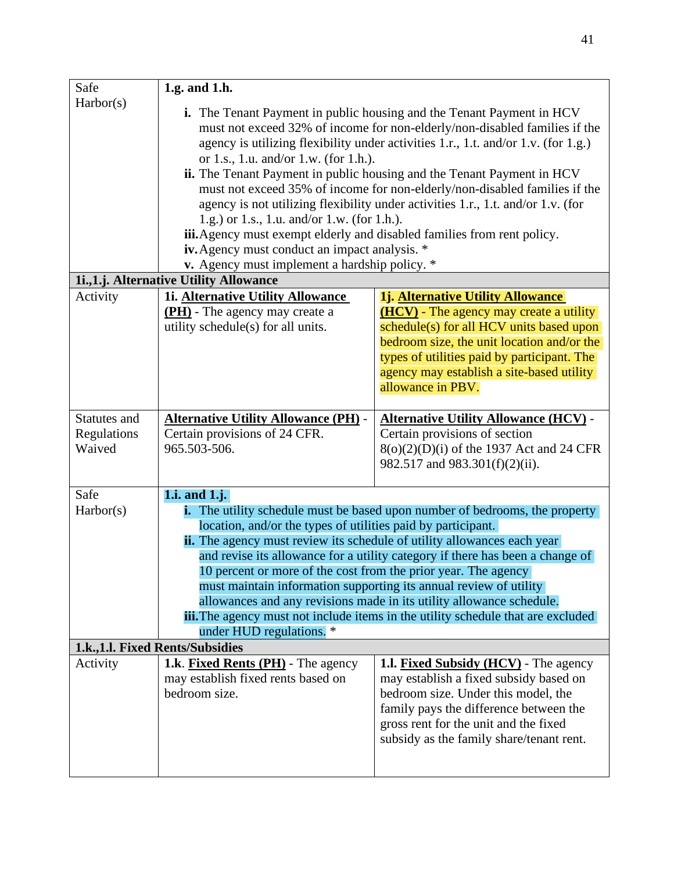| Safe                             | 1.g. and 1.h.                                                                                                                                                                                                                                                                                                                                                                                                                                                                                                                                                                                                                                                                                                                                                     |                                                                                                                                                                                                                                                                                                |  |
|----------------------------------|-------------------------------------------------------------------------------------------------------------------------------------------------------------------------------------------------------------------------------------------------------------------------------------------------------------------------------------------------------------------------------------------------------------------------------------------------------------------------------------------------------------------------------------------------------------------------------------------------------------------------------------------------------------------------------------------------------------------------------------------------------------------|------------------------------------------------------------------------------------------------------------------------------------------------------------------------------------------------------------------------------------------------------------------------------------------------|--|
| Harbor(s)                        | <b>i.</b> The Tenant Payment in public housing and the Tenant Payment in HCV<br>must not exceed 32% of income for non-elderly/non-disabled families if the<br>agency is utilizing flexibility under activities 1.r., 1.t. and/or 1.v. (for 1.g.)<br>or 1.s., 1.u. and/or 1.w. (for 1.h.).<br>ii. The Tenant Payment in public housing and the Tenant Payment in HCV<br>must not exceed 35% of income for non-elderly/non-disabled families if the<br>agency is not utilizing flexibility under activities 1.r., 1.t. and/or 1.v. (for<br>1.g.) or 1.s., 1.u. and/or 1.w. (for 1.h.).<br>iii. Agency must exempt elderly and disabled families from rent policy.<br>iv. Agency must conduct an impact analysis. *<br>v. Agency must implement a hardship policy. * |                                                                                                                                                                                                                                                                                                |  |
|                                  | 1i., 1.j. Alternative Utility Allowance                                                                                                                                                                                                                                                                                                                                                                                                                                                                                                                                                                                                                                                                                                                           |                                                                                                                                                                                                                                                                                                |  |
| Activity                         | 1i. Alternative Utility Allowance<br><b>(PH)</b> - The agency may create a<br>utility schedule(s) for all units.                                                                                                                                                                                                                                                                                                                                                                                                                                                                                                                                                                                                                                                  | 1j. Alternative Utility Allowance<br><b>(HCV)</b> - The agency may create a utility<br>schedule(s) for all HCV units based upon<br>bedroom size, the unit location and/or the<br>types of utilities paid by participant. The<br>agency may establish a site-based utility<br>allowance in PBV. |  |
| Statutes and                     | <b>Alternative Utility Allowance (PH) -</b>                                                                                                                                                                                                                                                                                                                                                                                                                                                                                                                                                                                                                                                                                                                       | <b>Alternative Utility Allowance (HCV) -</b>                                                                                                                                                                                                                                                   |  |
| Regulations<br>Waived            | Certain provisions of 24 CFR.<br>965.503-506.                                                                                                                                                                                                                                                                                                                                                                                                                                                                                                                                                                                                                                                                                                                     | Certain provisions of section<br>$8(o)(2)(D)(i)$ of the 1937 Act and 24 CFR<br>982.517 and 983.301(f)(2)(ii).                                                                                                                                                                                  |  |
| Safe                             | 1.i. and $1$ .j.                                                                                                                                                                                                                                                                                                                                                                                                                                                                                                                                                                                                                                                                                                                                                  |                                                                                                                                                                                                                                                                                                |  |
| Harbor(s)                        | <b>i.</b> The utility schedule must be based upon number of bedrooms, the property<br>location, and/or the types of utilities paid by participant.<br><b>ii.</b> The agency must review its schedule of utility allowances each year<br>and revise its allowance for a utility category if there has been a change of<br>10 percent or more of the cost from the prior year. The agency<br>must maintain information supporting its annual review of utility<br>allowances and any revisions made in its utility allowance schedule.<br>iii. The agency must not include items in the utility schedule that are excluded<br>under HUD regulations. *                                                                                                              |                                                                                                                                                                                                                                                                                                |  |
| 1.k., 1.l. Fixed Rents/Subsidies |                                                                                                                                                                                                                                                                                                                                                                                                                                                                                                                                                                                                                                                                                                                                                                   |                                                                                                                                                                                                                                                                                                |  |
| Activity                         | <b>1.k.</b> Fixed Rents (PH) - The agency<br>may establish fixed rents based on<br>bedroom size.                                                                                                                                                                                                                                                                                                                                                                                                                                                                                                                                                                                                                                                                  | <b>1.1. Fixed Subsidy (HCV)</b> - The agency<br>may establish a fixed subsidy based on<br>bedroom size. Under this model, the<br>family pays the difference between the<br>gross rent for the unit and the fixed<br>subsidy as the family share/tenant rent.                                   |  |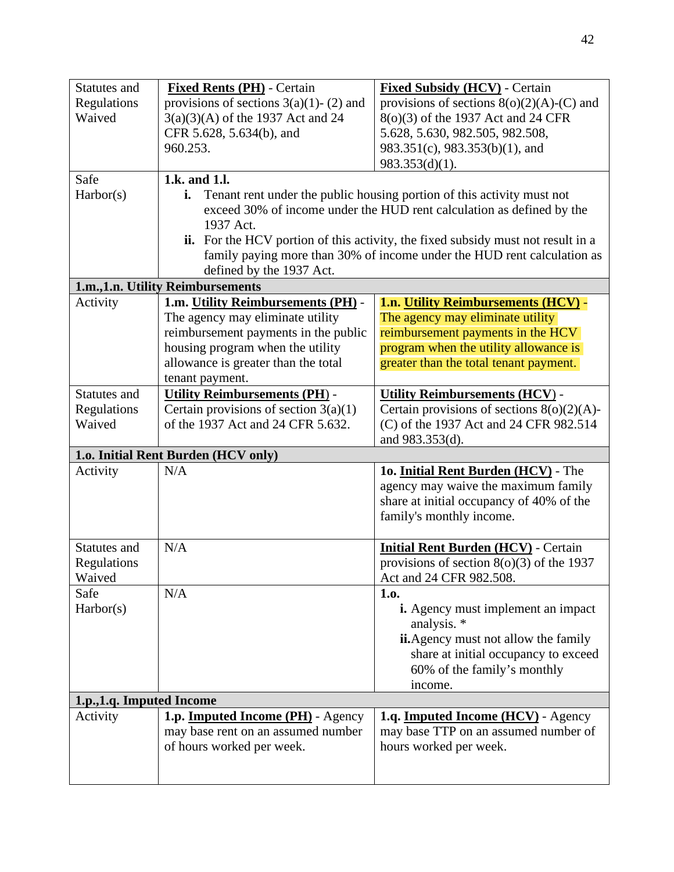| Statutes and                                           | <b>Fixed Rents (PH)</b> - Certain          | <b>Fixed Subsidy (HCV)</b> - Certain                                             |  |
|--------------------------------------------------------|--------------------------------------------|----------------------------------------------------------------------------------|--|
| Regulations                                            | provisions of sections $3(a)(1)$ - (2) and | provisions of sections $8(o)(2)(A)-(C)$ and                                      |  |
| Waived                                                 | $3(a)(3)(A)$ of the 1937 Act and 24        | 8(o)(3) of the 1937 Act and 24 CFR                                               |  |
|                                                        | CFR 5.628, 5.634(b), and                   | 5.628, 5.630, 982.505, 982.508,                                                  |  |
|                                                        | 960.253.                                   | 983.351(c), 983.353(b)(1), and                                                   |  |
|                                                        |                                            | $983.353(d)(1)$ .                                                                |  |
| Safe                                                   | 1.k. and 1.l.                              |                                                                                  |  |
| Harbor(s)                                              | i.                                         | Tenant rent under the public housing portion of this activity must not           |  |
|                                                        |                                            | exceed 30% of income under the HUD rent calculation as defined by the            |  |
|                                                        | 1937 Act.                                  |                                                                                  |  |
|                                                        |                                            | ii. For the HCV portion of this activity, the fixed subsidy must not result in a |  |
|                                                        |                                            | family paying more than 30% of income under the HUD rent calculation as          |  |
|                                                        | defined by the 1937 Act.                   |                                                                                  |  |
|                                                        | 1.m., 1.n. Utility Reimbursements          |                                                                                  |  |
| Activity                                               | 1.m. Utility Reimbursements (PH) -         | 1.n. Utility Reimbursements (HCV) -                                              |  |
|                                                        | The agency may eliminate utility           | The agency may eliminate utility                                                 |  |
|                                                        | reimbursement payments in the public       | reimbursement payments in the HCV                                                |  |
|                                                        | housing program when the utility           | program when the utility allowance is                                            |  |
|                                                        | allowance is greater than the total        | greater than the total tenant payment.                                           |  |
|                                                        | tenant payment.                            |                                                                                  |  |
| Statutes and                                           | <b>Utility Reimbursements (PH) -</b>       | <b>Utility Reimbursements (HCV) -</b>                                            |  |
| Regulations                                            | Certain provisions of section $3(a)(1)$    | Certain provisions of sections $8(o)(2)(A)$ -                                    |  |
| Waived                                                 | of the 1937 Act and 24 CFR 5.632.          | (C) of the 1937 Act and 24 CFR 982.514                                           |  |
| and 983.353(d).<br>1.0. Initial Rent Burden (HCV only) |                                            |                                                                                  |  |
| N/A<br>10. Initial Rent Burden (HCV) - The<br>Activity |                                            |                                                                                  |  |
|                                                        |                                            | agency may waive the maximum family                                              |  |
|                                                        |                                            | share at initial occupancy of 40% of the                                         |  |
|                                                        |                                            | family's monthly income.                                                         |  |
|                                                        |                                            |                                                                                  |  |
| Statutes and                                           | N/A                                        | <b>Initial Rent Burden (HCV)</b> - Certain                                       |  |
| Regulations                                            |                                            | provisions of section $8(0)(3)$ of the 1937                                      |  |
| Waived                                                 |                                            | Act and 24 CFR 982.508.                                                          |  |
| Safe                                                   | N/A                                        | 1.0.                                                                             |  |
| Harbor(s)                                              |                                            | <b>i.</b> Agency must implement an impact                                        |  |
|                                                        |                                            | analysis. *                                                                      |  |
|                                                        |                                            | <b>ii.</b> Agency must not allow the family                                      |  |
|                                                        |                                            | share at initial occupancy to exceed                                             |  |
|                                                        |                                            | 60% of the family's monthly                                                      |  |
|                                                        |                                            | income.                                                                          |  |
| 1.p., 1.q. Imputed Income                              |                                            |                                                                                  |  |
| Activity                                               | 1.p. <b>Imputed Income (PH)</b> - Agency   | 1.q. Imputed Income (HCV) - Agency                                               |  |
|                                                        | may base rent on an assumed number         | may base TTP on an assumed number of                                             |  |
|                                                        | of hours worked per week.                  | hours worked per week.                                                           |  |
|                                                        |                                            |                                                                                  |  |
|                                                        |                                            |                                                                                  |  |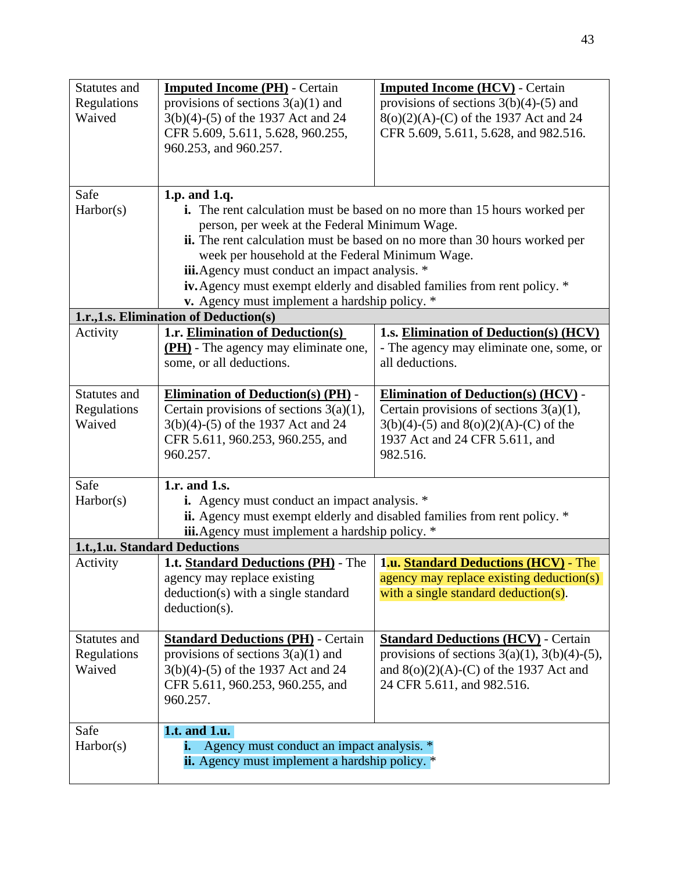| Statutes and | <b>Imputed Income (PH)</b> - Certain                                                                                            | <b>Imputed Income (HCV)</b> - Certain                                             |  |
|--------------|---------------------------------------------------------------------------------------------------------------------------------|-----------------------------------------------------------------------------------|--|
| Regulations  | provisions of sections $3(a)(1)$ and<br>provisions of sections $3(b)(4)-(5)$ and                                                |                                                                                   |  |
| Waived       | 3(b)(4)-(5) of the 1937 Act and 24                                                                                              | 8(o)(2)(A)-(C) of the 1937 Act and 24                                             |  |
|              | CFR 5.609, 5.611, 5.628, 960.255,                                                                                               | CFR 5.609, 5.611, 5.628, and 982.516.                                             |  |
|              | 960.253, and 960.257.                                                                                                           |                                                                                   |  |
|              |                                                                                                                                 |                                                                                   |  |
| Safe         | 1.p. and 1.q.                                                                                                                   |                                                                                   |  |
| Harbor(s)    |                                                                                                                                 | <b>i.</b> The rent calculation must be based on no more than 15 hours worked per  |  |
|              | person, per week at the Federal Minimum Wage.                                                                                   |                                                                                   |  |
|              |                                                                                                                                 | <b>ii.</b> The rent calculation must be based on no more than 30 hours worked per |  |
|              | week per household at the Federal Minimum Wage.                                                                                 |                                                                                   |  |
|              | iii. Agency must conduct an impact analysis. *                                                                                  |                                                                                   |  |
|              |                                                                                                                                 | iv. Agency must exempt elderly and disabled families from rent policy. *          |  |
|              | v. Agency must implement a hardship policy. *                                                                                   |                                                                                   |  |
|              | 1.r., 1.s. Elimination of Deduction(s)                                                                                          |                                                                                   |  |
| Activity     | 1.r. Elimination of Deduction(s)                                                                                                | 1.s. Elimination of Deduction(s) (HCV)                                            |  |
|              | (PH) - The agency may eliminate one,                                                                                            | - The agency may eliminate one, some, or                                          |  |
|              | some, or all deductions.                                                                                                        | all deductions.                                                                   |  |
| Statutes and | <b>Elimination of Deduction(s) (PH) -</b>                                                                                       | <b>Elimination of Deduction(s) (HCV) -</b>                                        |  |
| Regulations  | Certain provisions of sections $3(a)(1)$ ,                                                                                      | Certain provisions of sections $3(a)(1)$ ,                                        |  |
| Waived       | 3(b)(4)-(5) of the 1937 Act and 24                                                                                              | $3(b)(4)-(5)$ and $8(o)(2)(A)-(C)$ of the                                         |  |
|              | CFR 5.611, 960.253, 960.255, and                                                                                                | 1937 Act and 24 CFR 5.611, and                                                    |  |
|              | 960.257.                                                                                                                        | 982.516.                                                                          |  |
| Safe         | 1.r. and 1.s.                                                                                                                   |                                                                                   |  |
| Harbor(s)    |                                                                                                                                 |                                                                                   |  |
|              | <b>i.</b> Agency must conduct an impact analysis. *<br>ii. Agency must exempt elderly and disabled families from rent policy. * |                                                                                   |  |
|              | iii. Agency must implement a hardship policy. *                                                                                 |                                                                                   |  |
|              | 1.t., 1.u. Standard Deductions                                                                                                  |                                                                                   |  |
| Activity     | <b>1.t. Standard Deductions (PH) - The</b>                                                                                      | <b>1.u. Standard Deductions (HCV) - The</b>                                       |  |
|              | agency may replace existing                                                                                                     | agency may replace existing deduction(s)                                          |  |
|              | deduction(s) with a single standard                                                                                             | with a single standard deduction(s).                                              |  |
|              | $deduction(s)$ .                                                                                                                |                                                                                   |  |
| Statutes and | <b>Standard Deductions (PH) - Certain</b>                                                                                       | <b>Standard Deductions (HCV) - Certain</b>                                        |  |
| Regulations  | provisions of sections $3(a)(1)$ and                                                                                            | provisions of sections $3(a)(1)$ , $3(b)(4)-(5)$ ,                                |  |
| Waived       | 3(b)(4)-(5) of the 1937 Act and 24                                                                                              | and $8(0)(2)(A)-(C)$ of the 1937 Act and                                          |  |
|              | CFR 5.611, 960.253, 960.255, and                                                                                                | 24 CFR 5.611, and 982.516.                                                        |  |
|              | 960.257.                                                                                                                        |                                                                                   |  |
|              |                                                                                                                                 |                                                                                   |  |
| Safe         | 1.t. and 1.u.                                                                                                                   |                                                                                   |  |
| Harbor(s)    | Agency must conduct an impact analysis. *<br>i.                                                                                 |                                                                                   |  |
|              | ii. Agency must implement a hardship policy. *                                                                                  |                                                                                   |  |
|              |                                                                                                                                 |                                                                                   |  |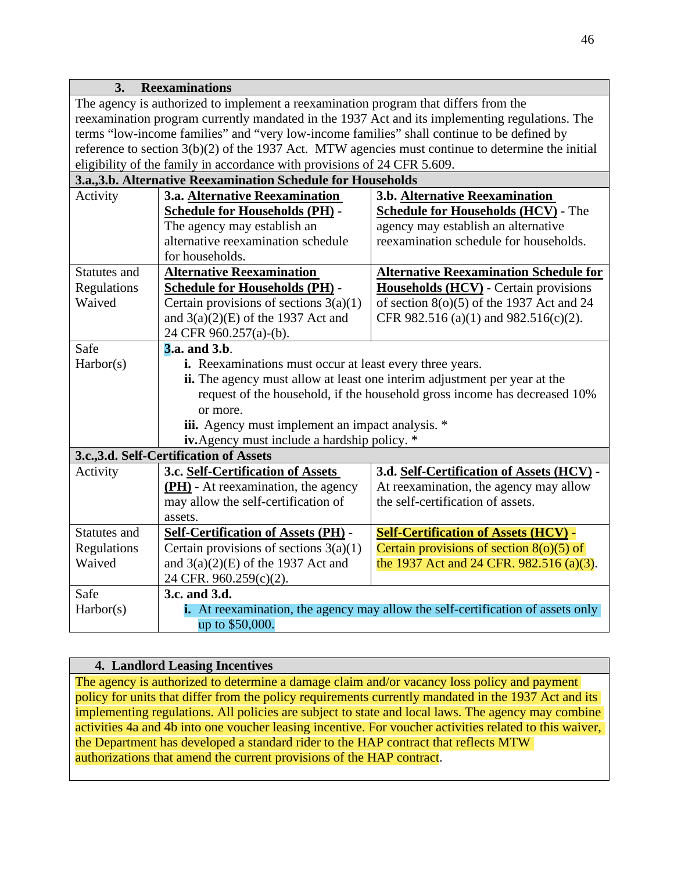| 3.<br><b>Reexaminations</b>                                                                    |                                                                                 |                                                                                                     |  |
|------------------------------------------------------------------------------------------------|---------------------------------------------------------------------------------|-----------------------------------------------------------------------------------------------------|--|
| The agency is authorized to implement a reexamination program that differs from the            |                                                                                 |                                                                                                     |  |
| reexamination program currently mandated in the 1937 Act and its implementing regulations. The |                                                                                 |                                                                                                     |  |
| terms "low-income families" and "very low-income families" shall continue to be defined by     |                                                                                 |                                                                                                     |  |
|                                                                                                |                                                                                 | reference to section $3(b)(2)$ of the 1937 Act. MTW agencies must continue to determine the initial |  |
|                                                                                                | eligibility of the family in accordance with provisions of 24 CFR 5.609.        |                                                                                                     |  |
|                                                                                                | 3.a., 3.b. Alternative Reexamination Schedule for Households                    |                                                                                                     |  |
| Activity                                                                                       | 3.b. Alternative Reexamination<br>3.a. Alternative Reexamination                |                                                                                                     |  |
|                                                                                                | <b>Schedule for Households (PH) -</b>                                           | <b>Schedule for Households (HCV) - The</b>                                                          |  |
|                                                                                                | The agency may establish an                                                     | agency may establish an alternative                                                                 |  |
|                                                                                                | alternative reexamination schedule                                              | reexamination schedule for households.                                                              |  |
|                                                                                                | for households.                                                                 |                                                                                                     |  |
| Statutes and                                                                                   | <b>Alternative Reexamination</b>                                                | <b>Alternative Reexamination Schedule for</b>                                                       |  |
| Regulations                                                                                    | <b>Schedule for Households (PH) -</b>                                           | <b>Households (HCV)</b> - Certain provisions                                                        |  |
| Waived                                                                                         | Certain provisions of sections $3(a)(1)$                                        | of section $8(0)(5)$ of the 1937 Act and 24                                                         |  |
|                                                                                                | and $3(a)(2)(E)$ of the 1937 Act and                                            | CFR 982.516 (a)(1) and 982.516(c)(2).                                                               |  |
|                                                                                                | 24 CFR 960.257(a)-(b).                                                          |                                                                                                     |  |
| Safe                                                                                           | <b>3.a.</b> and 3.b.                                                            |                                                                                                     |  |
| Harbor(s)                                                                                      | i. Reexaminations must occur at least every three years.                        |                                                                                                     |  |
|                                                                                                | ii. The agency must allow at least one interim adjustment per year at the       |                                                                                                     |  |
|                                                                                                | request of the household, if the household gross income has decreased 10%       |                                                                                                     |  |
|                                                                                                | or more.                                                                        |                                                                                                     |  |
|                                                                                                | iii. Agency must implement an impact analysis. *                                |                                                                                                     |  |
|                                                                                                | iv. Agency must include a hardship policy. *                                    |                                                                                                     |  |
|                                                                                                | 3.c., 3.d. Self-Certification of Assets                                         |                                                                                                     |  |
| Activity                                                                                       | 3.c. Self-Certification of Assets                                               | 3.d. Self-Certification of Assets (HCV) -                                                           |  |
|                                                                                                | (PH) - At reexamination, the agency                                             | At reexamination, the agency may allow                                                              |  |
|                                                                                                | may allow the self-certification of                                             | the self-certification of assets.                                                                   |  |
|                                                                                                | assets.                                                                         |                                                                                                     |  |
| Statutes and                                                                                   | <b>Self-Certification of Assets (PH) -</b>                                      | <b>Self-Certification of Assets (HCV) -</b>                                                         |  |
| Regulations                                                                                    | Certain provisions of sections $3(a)(1)$                                        | Certain provisions of section $8(0)(5)$ of                                                          |  |
| Waived                                                                                         | and $3(a)(2)(E)$ of the 1937 Act and                                            | the 1937 Act and 24 CFR. 982.516 (a)(3).                                                            |  |
|                                                                                                | 24 CFR. 960.259(c)(2).                                                          |                                                                                                     |  |
| Safe                                                                                           | 3.c. and 3.d.                                                                   |                                                                                                     |  |
| Harbor(s)                                                                                      | i. At reexamination, the agency may allow the self-certification of assets only |                                                                                                     |  |
|                                                                                                | up to \$50,000.                                                                 |                                                                                                     |  |

# **4. Landlord Leasing Incentives**

The agency is authorized to determine a damage claim and/or vacancy loss policy and payment policy for units that differ from the policy requirements currently mandated in the 1937 Act and its implementing regulations. All policies are subject to state and local laws. The agency may combine activities 4a and 4b into one voucher leasing incentive. For voucher activities related to this waiver, the Department has developed a standard rider to the HAP contract that reflects MTW authorizations that amend the current provisions of the HAP contract.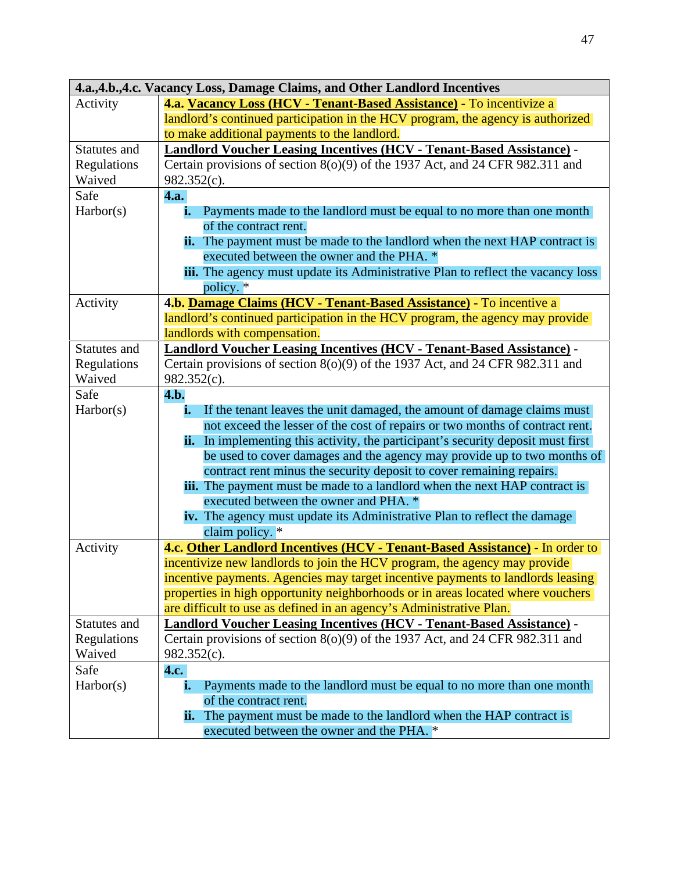|              | 4.a., 4.b., 4.c. Vacancy Loss, Damage Claims, and Other Landlord Incentives             |  |  |
|--------------|-----------------------------------------------------------------------------------------|--|--|
| Activity     | 4.a. Vacancy Loss (HCV - Tenant-Based Assistance) - To incentivize a                    |  |  |
|              | landlord's continued participation in the HCV program, the agency is authorized         |  |  |
|              | to make additional payments to the landlord.                                            |  |  |
| Statutes and | <b>Landlord Voucher Leasing Incentives (HCV - Tenant-Based Assistance) -</b>            |  |  |
| Regulations  | Certain provisions of section 8(o)(9) of the 1937 Act, and 24 CFR 982.311 and           |  |  |
| Waived       | $982.352(c)$ .                                                                          |  |  |
| Safe         | <b>4.a.</b>                                                                             |  |  |
| Harbor(s)    | Payments made to the landlord must be equal to no more than one month<br>i.             |  |  |
|              | of the contract rent.                                                                   |  |  |
|              | <b>ii.</b> The payment must be made to the landlord when the next HAP contract is       |  |  |
|              | executed between the owner and the PHA. *                                               |  |  |
|              | iii. The agency must update its Administrative Plan to reflect the vacancy loss         |  |  |
|              | policy. $*$                                                                             |  |  |
| Activity     | 4.b. Damage Claims (HCV - Tenant-Based Assistance) - To incentive a                     |  |  |
|              | landlord's continued participation in the HCV program, the agency may provide           |  |  |
|              | landlords with compensation.                                                            |  |  |
| Statutes and | <b>Landlord Voucher Leasing Incentives (HCV - Tenant-Based Assistance) -</b>            |  |  |
| Regulations  | Certain provisions of section $8(0)(9)$ of the 1937 Act, and 24 CFR 982.311 and         |  |  |
| Waived       | 982.352(c).                                                                             |  |  |
| Safe         | 4.b.                                                                                    |  |  |
| Harbor(s)    | If the tenant leaves the unit damaged, the amount of damage claims must<br>i.           |  |  |
|              | not exceed the lesser of the cost of repairs or two months of contract rent.            |  |  |
|              | <b>ii.</b> In implementing this activity, the participant's security deposit must first |  |  |
|              | be used to cover damages and the agency may provide up to two months of                 |  |  |
|              | contract rent minus the security deposit to cover remaining repairs.                    |  |  |
|              | <b>iii.</b> The payment must be made to a landlord when the next HAP contract is        |  |  |
|              | executed between the owner and PHA. *                                                   |  |  |
|              | iv. The agency must update its Administrative Plan to reflect the damage                |  |  |
|              | claim policy. *                                                                         |  |  |
| Activity     | 4.c. Other Landlord Incentives (HCV - Tenant-Based Assistance) - In order to            |  |  |
|              | incentivize new landlords to join the HCV program, the agency may provide               |  |  |
|              | incentive payments. Agencies may target incentive payments to landlords leasing         |  |  |
|              | properties in high opportunity neighborhoods or in areas located where vouchers         |  |  |
|              | are difficult to use as defined in an agency's Administrative Plan.                     |  |  |

**Landlord Voucher Leasing Incentives (HCV - Tenant-Based Assistance)** - Certain provisions of section 8(o)(9) of the 1937 Act, and 24 CFR 982.311 and

**i.** Payments made to the landlord must be equal to no more than one month

**ii.** The payment must be made to the landlord when the HAP contract is

executed between the owner and the PHA. \*

Statutes and Regulations Waived

Safe Harbor(s) 982.352(c).

of the contract rent.

**4.c.** 

47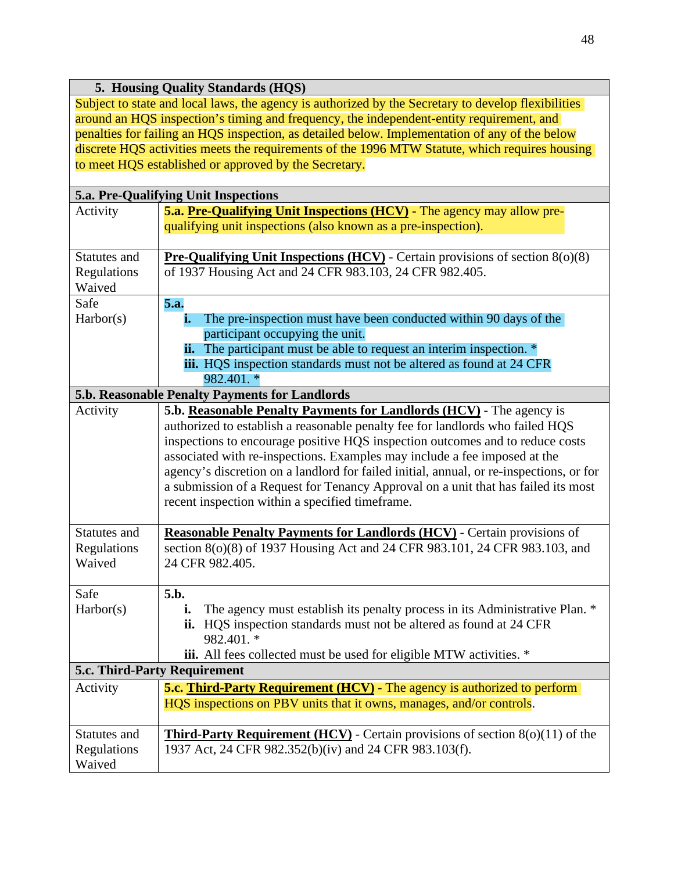## **5. Housing Quality Standards (HQS)**

Subject to state and local laws, the agency is authorized by the Secretary to develop flexibilities around an HQS inspection's timing and frequency, the independent-entity requirement, and penalties for failing an HQS inspection, as detailed below. Implementation of any of the below discrete HQS activities meets the requirements of the 1996 MTW Statute, which requires housing to meet HQS established or approved by the Secretary.

| 5.a. Pre-Qualifying Unit Inspections  |                                                                                                                                                                                                                                                                                                                                                                                                                                                                                                                                                        |  |
|---------------------------------------|--------------------------------------------------------------------------------------------------------------------------------------------------------------------------------------------------------------------------------------------------------------------------------------------------------------------------------------------------------------------------------------------------------------------------------------------------------------------------------------------------------------------------------------------------------|--|
| Activity                              | 5.a. Pre-Qualifying Unit Inspections (HCV) - The agency may allow pre-<br>qualifying unit inspections (also known as a pre-inspection).                                                                                                                                                                                                                                                                                                                                                                                                                |  |
| Statutes and<br>Regulations<br>Waived | <b>Pre-Qualifying Unit Inspections (HCV)</b> - Certain provisions of section $8(0)(8)$<br>of 1937 Housing Act and 24 CFR 983.103, 24 CFR 982.405.                                                                                                                                                                                                                                                                                                                                                                                                      |  |
| Safe                                  | 5.a.                                                                                                                                                                                                                                                                                                                                                                                                                                                                                                                                                   |  |
| Harbor(s)                             | The pre-inspection must have been conducted within 90 days of the<br>i.<br>participant occupying the unit.<br>ii. The participant must be able to request an interim inspection. *<br>iii. HQS inspection standards must not be altered as found at 24 CFR<br>982.401. *                                                                                                                                                                                                                                                                               |  |
|                                       | 5.b. Reasonable Penalty Payments for Landlords                                                                                                                                                                                                                                                                                                                                                                                                                                                                                                         |  |
| Activity                              | 5.b. Reasonable Penalty Payments for Landlords (HCV) - The agency is<br>authorized to establish a reasonable penalty fee for landlords who failed HQS<br>inspections to encourage positive HQS inspection outcomes and to reduce costs<br>associated with re-inspections. Examples may include a fee imposed at the<br>agency's discretion on a landlord for failed initial, annual, or re-inspections, or for<br>a submission of a Request for Tenancy Approval on a unit that has failed its most<br>recent inspection within a specified timeframe. |  |
| Statutes and                          | <b>Reasonable Penalty Payments for Landlords (HCV)</b> - Certain provisions of                                                                                                                                                                                                                                                                                                                                                                                                                                                                         |  |
| Regulations<br>Waived                 | section 8(o)(8) of 1937 Housing Act and 24 CFR 983.101, 24 CFR 983.103, and<br>24 CFR 982.405.                                                                                                                                                                                                                                                                                                                                                                                                                                                         |  |
| Safe                                  | 5.b.                                                                                                                                                                                                                                                                                                                                                                                                                                                                                                                                                   |  |
| Harbor(s)                             | The agency must establish its penalty process in its Administrative Plan. *<br>i.<br>ii. HQS inspection standards must not be altered as found at 24 CFR<br>982.401. *<br><b>iii.</b> All fees collected must be used for eligible MTW activities. *                                                                                                                                                                                                                                                                                                   |  |
| 5.c. Third-Party Requirement          |                                                                                                                                                                                                                                                                                                                                                                                                                                                                                                                                                        |  |
| Activity                              | <b>5.c. Third-Party Requirement (HCV)</b> - The agency is authorized to perform<br>HQS inspections on PBV units that it owns, manages, and/or controls.                                                                                                                                                                                                                                                                                                                                                                                                |  |
| Statutes and<br>Regulations<br>Waived | <b>Third-Party Requirement (HCV)</b> - Certain provisions of section $8(0)(11)$ of the<br>1937 Act, 24 CFR 982.352(b)(iv) and 24 CFR 983.103(f).                                                                                                                                                                                                                                                                                                                                                                                                       |  |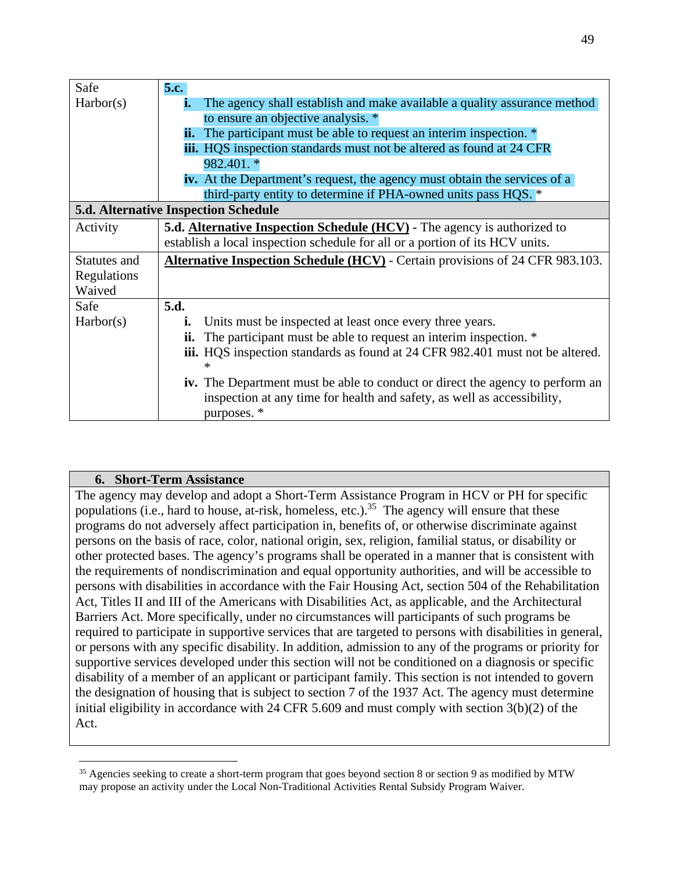| Safe         | 5.c.                                                                                 |
|--------------|--------------------------------------------------------------------------------------|
| Harbor(s)    | The agency shall establish and make available a quality assurance method<br>i.       |
|              | to ensure an objective analysis. *                                                   |
|              | <b>ii.</b> The participant must be able to request an interim inspection. *          |
|              | iii. HQS inspection standards must not be altered as found at 24 CFR                 |
|              | 982.401. *                                                                           |
|              | <b>iv.</b> At the Department's request, the agency must obtain the services of a     |
|              | third-party entity to determine if PHA-owned units pass HQS. *                       |
|              | 5.d. Alternative Inspection Schedule                                                 |
| Activity     | 5.d. <b>Alternative Inspection Schedule (HCV)</b> - The agency is authorized to      |
|              | establish a local inspection schedule for all or a portion of its HCV units.         |
| Statutes and | Alternative Inspection Schedule (HCV) - Certain provisions of 24 CFR 983.103.        |
| Regulations  |                                                                                      |
| Waived       |                                                                                      |
| Safe         | 5.d.                                                                                 |
| Harbor(s)    | Units must be inspected at least once every three years.<br>i.                       |
|              | The participant must be able to request an interim inspection. *<br>ii.              |
|              | <b>iii.</b> HQS inspection standards as found at 24 CFR 982.401 must not be altered. |
|              | ∗                                                                                    |
|              | <b>iv.</b> The Department must be able to conduct or direct the agency to perform an |
|              | inspection at any time for health and safety, as well as accessibility,              |
|              | purposes. *                                                                          |

## **6. Short-Term Assistance**

The agency may develop and adopt a Short-Term Assistance Program in HCV or PH for specific populations (i.e., hard to house, at-risk, homeless, etc.).<sup>[35](#page-6-0)</sup> The agency will ensure that these programs do not adversely affect participation in, benefits of, or otherwise discriminate against persons on the basis of race, color, national origin, sex, religion, familial status, or disability or other protected bases. The agency's programs shall be operated in a manner that is consistent with the requirements of nondiscrimination and equal opportunity authorities, and will be accessible to persons with disabilities in accordance with the Fair Housing Act, section 504 of the Rehabilitation Act, Titles II and III of the Americans with Disabilities Act, as applicable, and the Architectural Barriers Act. More specifically, under no circumstances will participants of such programs be required to participate in supportive services that are targeted to persons with disabilities in general, or persons with any specific disability. In addition, admission to any of the programs or priority for supportive services developed under this section will not be conditioned on a diagnosis or specific disability of a member of an applicant or participant family. This section is not intended to govern the designation of housing that is subject to section 7 of the 1937 Act. The agency must determine initial eligibility in accordance with 24 CFR 5.609 and must comply with section 3(b)(2) of the Act.

<span id="page-6-0"></span><sup>&</sup>lt;sup>35</sup> Agencies seeking to create a short-term program that goes beyond section 8 or section 9 as modified by MTW may propose an activity under the Local Non-Traditional Activities Rental Subsidy Program Waiver.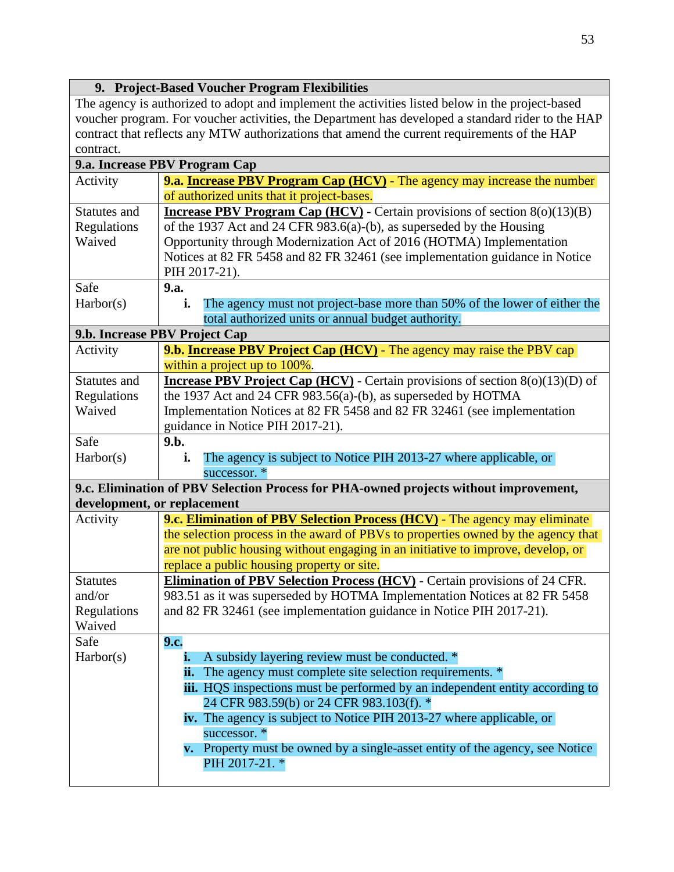#### **9. Project-Based Voucher Program Flexibilities**

The agency is authorized to adopt and implement the activities listed below in the project-based voucher program. For voucher activities, the Department has developed a standard rider to the HAP contract that reflects any MTW authorizations that amend the current requirements of the HAP contract.

| 9.a. Increase PBV Program Cap |                                                                                        |  |
|-------------------------------|----------------------------------------------------------------------------------------|--|
| Activity                      | <b>9.a. Increase PBV Program Cap (HCV)</b> - The agency may increase the number        |  |
|                               | of authorized units that it project-bases.                                             |  |
| Statutes and                  | <b>Increase PBV Program Cap (HCV)</b> - Certain provisions of section $8(o)(13)(B)$    |  |
| Regulations                   | of the 1937 Act and 24 CFR 983.6(a)-(b), as superseded by the Housing                  |  |
| Waived                        | Opportunity through Modernization Act of 2016 (HOTMA) Implementation                   |  |
|                               | Notices at 82 FR 5458 and 82 FR 32461 (see implementation guidance in Notice           |  |
|                               | PIH 2017-21).                                                                          |  |
| Safe                          | 9.a.                                                                                   |  |
| Harbor(s)                     | The agency must not project-base more than 50% of the lower of either the<br>i.        |  |
|                               | total authorized units or annual budget authority.                                     |  |
|                               | 9.b. Increase PBV Project Cap                                                          |  |
| Activity                      | 9.b. <b>Increase PBV Project Cap (HCV)</b> - The agency may raise the PBV cap          |  |
|                               | within a project up to 100%.                                                           |  |
| Statutes and                  | <b>Increase PBV Project Cap (HCV)</b> - Certain provisions of section $8(0)(13)(D)$ of |  |
| Regulations                   | the 1937 Act and 24 CFR 983.56(a)-(b), as superseded by HOTMA                          |  |
| Waived                        | Implementation Notices at 82 FR 5458 and 82 FR 32461 (see implementation               |  |
|                               | guidance in Notice PIH 2017-21).                                                       |  |
| Safe                          | 9.b.                                                                                   |  |
| Harbor(s)                     | The agency is subject to Notice PIH 2013-27 where applicable, or<br>i.                 |  |
|                               | successor. *                                                                           |  |
|                               | 9.c. Elimination of PBV Selection Process for PHA-owned projects without improvement,  |  |
|                               | development, or replacement                                                            |  |
| Activity                      | 9.c. Elimination of PBV Selection Process (HCV) - The agency may eliminate             |  |
|                               | the selection process in the award of PBVs to properties owned by the agency that      |  |
|                               | are not public housing without engaging in an initiative to improve, develop, or       |  |
|                               | replace a public housing property or site.                                             |  |
| <b>Statutes</b>               | <b>Elimination of PBV Selection Process (HCV)</b> - Certain provisions of 24 CFR.      |  |
| and/or                        | 983.51 as it was superseded by HOTMA Implementation Notices at 82 FR 5458              |  |
| Regulations                   | and 82 FR 32461 (see implementation guidance in Notice PIH 2017-21).                   |  |
| Waived                        |                                                                                        |  |
| Safe                          | 9.c.                                                                                   |  |
| Harbor(s)                     | A subsidy layering review must be conducted. *<br>i.                                   |  |
|                               | <b>ii.</b> The agency must complete site selection requirements. *                     |  |
|                               | <b>iii.</b> HQS inspections must be performed by an independent entity according to    |  |
|                               | 24 CFR 983.59(b) or 24 CFR 983.103(f). *                                               |  |
|                               | iv. The agency is subject to Notice PIH 2013-27 where applicable, or                   |  |
|                               | successor. *                                                                           |  |
|                               | <b>v.</b> Property must be owned by a single-asset entity of the agency, see Notice    |  |
|                               | PIH 2017-21. *                                                                         |  |
|                               |                                                                                        |  |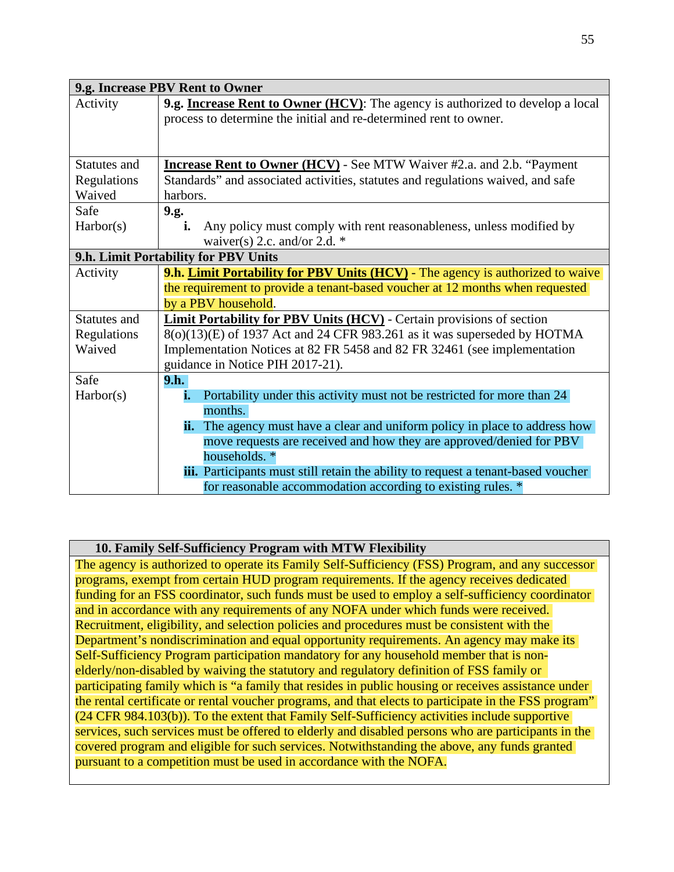| 9.g. Increase PBV Rent to Owner |                                                                                   |  |
|---------------------------------|-----------------------------------------------------------------------------------|--|
| Activity                        | 9.g. Increase Rent to Owner (HCV): The agency is authorized to develop a local    |  |
|                                 | process to determine the initial and re-determined rent to owner.                 |  |
|                                 |                                                                                   |  |
|                                 |                                                                                   |  |
| <b>Statutes and</b>             | <b>Increase Rent to Owner (HCV)</b> - See MTW Waiver #2.a. and 2.b. "Payment      |  |
| Regulations                     | Standards" and associated activities, statutes and regulations waived, and safe   |  |
| Waived                          | harbors.                                                                          |  |
| Safe                            | 9.g.                                                                              |  |
| Harbor(s)                       | Any policy must comply with rent reasonableness, unless modified by<br>i.         |  |
|                                 | waiver(s) 2.c. and/or 2.d. $*$                                                    |  |
|                                 | 9.h. Limit Portability for PBV Units                                              |  |
| Activity                        | 9.h. Limit Portability for PBV Units (HCV) - The agency is authorized to waive    |  |
|                                 | the requirement to provide a tenant-based voucher at 12 months when requested     |  |
|                                 | by a PBV household.                                                               |  |
| <b>Statutes and</b>             | <b>Limit Portability for PBV Units (HCV)</b> - Certain provisions of section      |  |
| Regulations                     | 8(o)(13)(E) of 1937 Act and 24 CFR 983.261 as it was superseded by HOTMA          |  |
| Waived                          | Implementation Notices at 82 FR 5458 and 82 FR 32461 (see implementation          |  |
|                                 | guidance in Notice PIH 2017-21).                                                  |  |
| Safe                            | 9.h.                                                                              |  |
| Harbor(s)                       | Portability under this activity must not be restricted for more than 24<br>i.     |  |
|                                 | months.                                                                           |  |
|                                 | The agency must have a clear and uniform policy in place to address how<br>ii.    |  |
|                                 | move requests are received and how they are approved/denied for PBV               |  |
|                                 | households. *                                                                     |  |
|                                 | iii. Participants must still retain the ability to request a tenant-based voucher |  |
|                                 | for reasonable accommodation according to existing rules. *                       |  |

## **10. Family Self-Sufficiency Program with MTW Flexibility**

The agency is authorized to operate its Family Self-Sufficiency (FSS) Program, and any successor programs, exempt from certain HUD program requirements. If the agency receives dedicated funding for an FSS coordinator, such funds must be used to employ a self-sufficiency coordinator and in accordance with any requirements of any NOFA under which funds were received. Recruitment, eligibility, and selection policies and procedures must be consistent with the Department's nondiscrimination and equal opportunity requirements. An agency may make its Self-Sufficiency Program participation mandatory for any household member that is nonelderly/non-disabled by waiving the statutory and regulatory definition of FSS family or participating family which is "a family that resides in public housing or receives assistance under the rental certificate or rental voucher programs, and that elects to participate in the FSS program" (24 CFR 984.103(b)). To the extent that Family Self-Sufficiency activities include supportive services, such services must be offered to elderly and disabled persons who are participants in the covered program and eligible for such services. Notwithstanding the above, any funds granted pursuant to a competition must be used in accordance with the NOFA.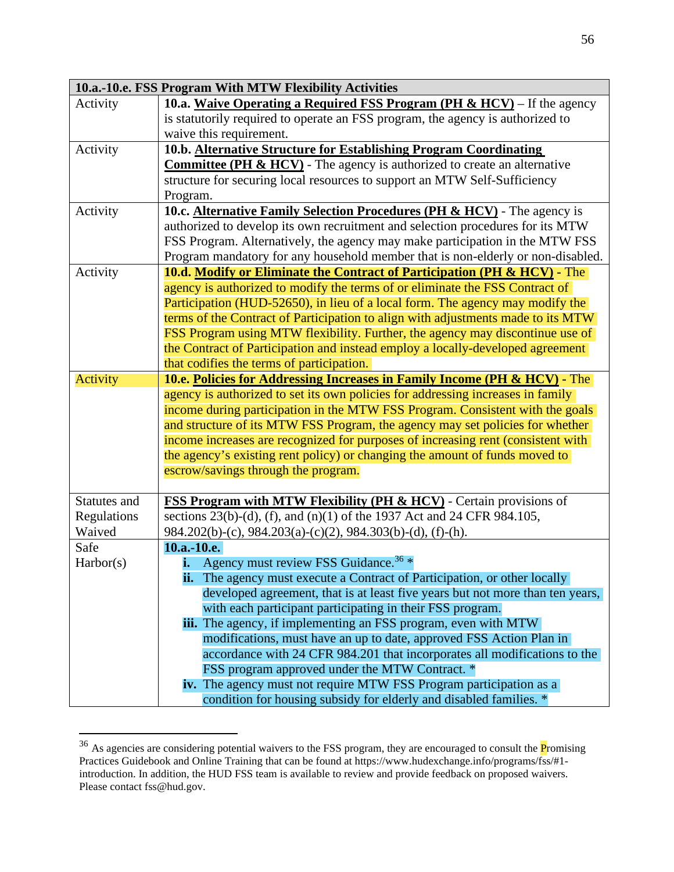|              | 10.a.-10.e. FSS Program With MTW Flexibility Activities                             |  |
|--------------|-------------------------------------------------------------------------------------|--|
| Activity     | 10.a. Waive Operating a Required FSS Program (PH $\&$ HCV) – If the agency          |  |
|              | is statutorily required to operate an FSS program, the agency is authorized to      |  |
|              | waive this requirement.                                                             |  |
| Activity     | 10.b. Alternative Structure for Establishing Program Coordinating                   |  |
|              | <b>Committee (PH &amp; HCV)</b> - The agency is authorized to create an alternative |  |
|              | structure for securing local resources to support an MTW Self-Sufficiency           |  |
|              | Program.                                                                            |  |
| Activity     | 10.c. Alternative Family Selection Procedures (PH & HCV) - The agency is            |  |
|              | authorized to develop its own recruitment and selection procedures for its MTW      |  |
|              | FSS Program. Alternatively, the agency may make participation in the MTW FSS        |  |
|              | Program mandatory for any household member that is non-elderly or non-disabled.     |  |
| Activity     | <b>10.d. Modify or Eliminate the Contract of Participation (PH &amp; HCV)</b> - The |  |
|              | agency is authorized to modify the terms of or eliminate the FSS Contract of        |  |
|              | Participation (HUD-52650), in lieu of a local form. The agency may modify the       |  |
|              | terms of the Contract of Participation to align with adjustments made to its MTW    |  |
|              | FSS Program using MTW flexibility. Further, the agency may discontinue use of       |  |
|              | the Contract of Participation and instead employ a locally-developed agreement      |  |
|              | that codifies the terms of participation.                                           |  |
| Activity     | 10.e. Policies for Addressing Increases in Family Income (PH & HCV) - The           |  |
|              | agency is authorized to set its own policies for addressing increases in family     |  |
|              | income during participation in the MTW FSS Program. Consistent with the goals       |  |
|              | and structure of its MTW FSS Program, the agency may set policies for whether       |  |
|              | income increases are recognized for purposes of increasing rent (consistent with    |  |
|              | the agency's existing rent policy) or changing the amount of funds moved to         |  |
|              | escrow/savings through the program.                                                 |  |
|              |                                                                                     |  |
| Statutes and | <b>FSS Program with MTW Flexibility (PH &amp; HCV)</b> - Certain provisions of      |  |
| Regulations  | sections 23(b)-(d), (f), and (n)(1) of the 1937 Act and 24 CFR 984.105,             |  |
| Waived       | 984.202(b)-(c), 984.203(a)-(c)(2), 984.303(b)-(d), (f)-(h).                         |  |
| Safe         | 10.a.-10.e.                                                                         |  |
| Harbor(s)    | <b>i.</b> Agency must review FSS Guidance. <sup>36</sup> $*$                        |  |
|              | <b>ii.</b> The agency must execute a Contract of Participation, or other locally    |  |
|              | developed agreement, that is at least five years but not more than ten years,       |  |
|              | with each participant participating in their FSS program.                           |  |
|              | iii. The agency, if implementing an FSS program, even with MTW                      |  |
|              | modifications, must have an up to date, approved FSS Action Plan in                 |  |
|              | accordance with 24 CFR 984.201 that incorporates all modifications to the           |  |
|              | FSS program approved under the MTW Contract. *                                      |  |
|              | iv. The agency must not require MTW FSS Program participation as a                  |  |
|              | condition for housing subsidy for elderly and disabled families. *                  |  |

<span id="page-9-0"></span><sup>&</sup>lt;sup>36</sup> As agencies are considering potential waivers to the FSS program, they are encouraged to consult the *Promising* Practices Guidebook and Online Training that can be found at https://www.hudexchange.info/programs/fss/#1 introduction. In addition, the HUD FSS team is available to review and provide feedback on proposed waivers. Please contact fss@hud.gov.